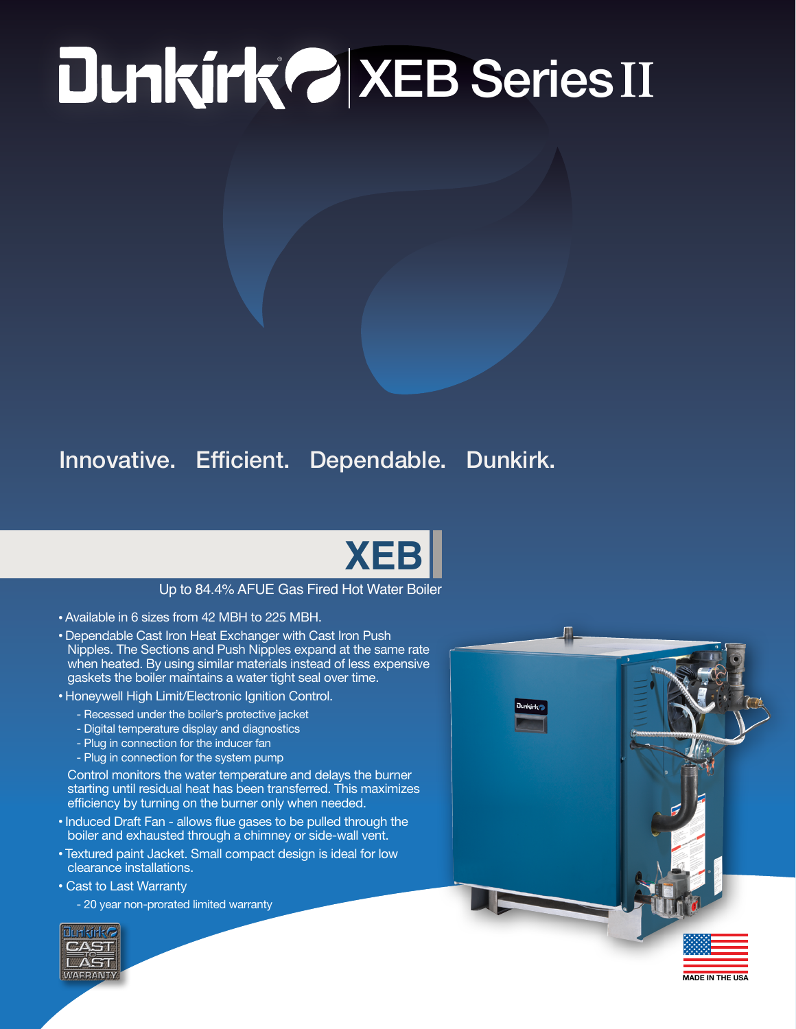## ® XEB Series **II**

## Innovative. Efficient. Dependable. Dunkirk.



## Up to 84.4% AFUE Gas Fired Hot Water Boiler

- Available in 6 sizes from 42 MBH to 225 MBH.
- Dependable Cast Iron Heat Exchanger with Cast Iron Push Nipples. The Sections and Push Nipples expand at the same rate when heated. By using similar materials instead of less expensive gaskets the boiler maintains a water tight seal over time.
- Honeywell High Limit/Electronic Ignition Control.
	- Recessed under the boiler's protective jacket
	- Digital temperature display and diagnostics
	- Plug in connection for the inducer fan
	- Plug in connection for the system pump

Control monitors the water temperature and delays the burner starting until residual heat has been transferred. This maximizes efficiency by turning on the burner only when needed.

- Induced Draft Fan allows flue gases to be pulled through the boiler and exhausted through a chimney or side-wall vent.
- Textured paint Jacket. Small compact design is ideal for low clearance installations.
- Cast to Last Warranty

- 20 year non-prorated limited warranty